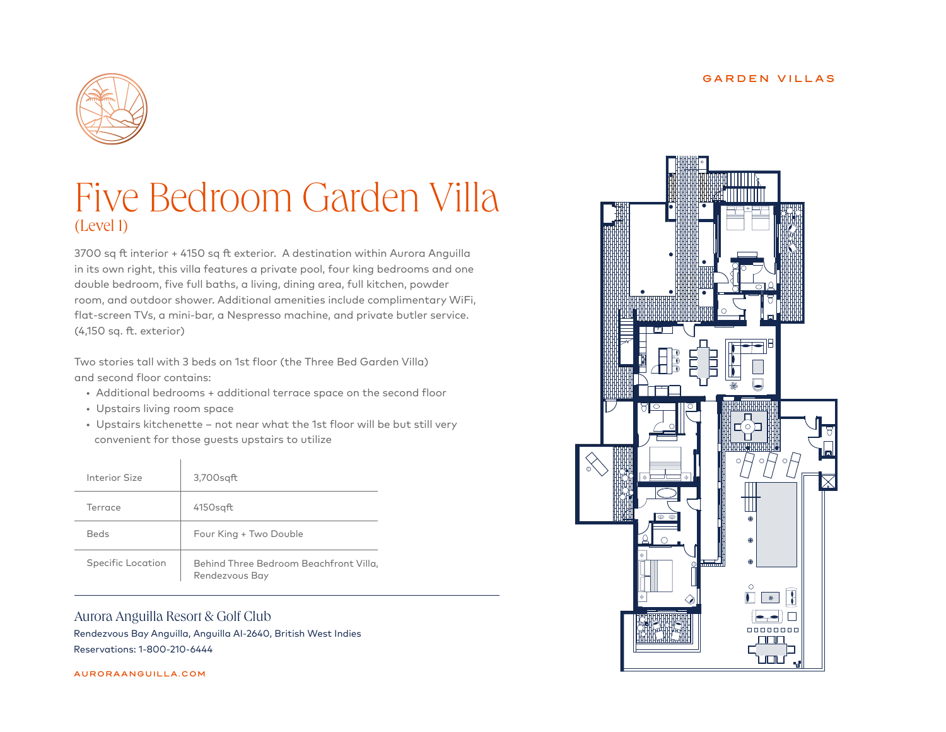#### GARDEN VILLAS



# Five Bedroom Garden Villa (Level 1)

3700 sq ft interior + 4150 sq ft exterior. A destination within Aurora Anguilla in its own right, this villa features a private pool, four king bedrooms and one double bedroom, five full baths, a living, dining area, full kitchen, powder room, and outdoor shower. Additional amenities include complimentary WiFi, flat-screen TVs, a mini-bar, a Nespresso machine, and private butler service. (4,150 sq. ft. exterior)

Two stories tall with 3 beds on 1st floor (the Three Bed Garden Villa) and second floor contains:

- Additional bedrooms + additional terrace space on the second floor
- Upstairs living room space
- Upstairs kitchenette not near what the 1st floor will be but still very convenient for those guests upstairs to utilize

| Interior Size     | 3,700sgft                                                |
|-------------------|----------------------------------------------------------|
| Terrace           | $4150$ sgft                                              |
| <b>Beds</b>       | Four King + Two Double                                   |
| Specific Location | Behind Three Bedroom Beachfront Villa,<br>Rendezvous Bay |

## Aurora Anguilla Resort & Golf Club

Rendezvous Bay Anguilla, Anguilla AI-2640, British West Indies Reservations: 1-800-210-6444